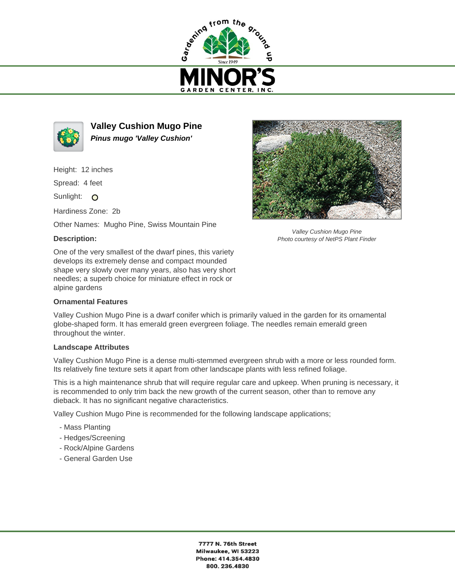



**Valley Cushion Mugo Pine Pinus mugo 'Valley Cushion'**

Height: 12 inches

Spread: 4 feet

Sunlight: O

Hardiness Zone: 2b

Other Names: Mugho Pine, Swiss Mountain Pine

## **Description:**

One of the very smallest of the dwarf pines, this variety develops its extremely dense and compact mounded shape very slowly over many years, also has very short needles; a superb choice for miniature effect in rock or alpine gardens

## **Ornamental Features**

Valley Cushion Mugo Pine is a dwarf conifer which is primarily valued in the garden for its ornamental globe-shaped form. It has emerald green evergreen foliage. The needles remain emerald green throughout the winter.

## **Landscape Attributes**

Valley Cushion Mugo Pine is a dense multi-stemmed evergreen shrub with a more or less rounded form. Its relatively fine texture sets it apart from other landscape plants with less refined foliage.

This is a high maintenance shrub that will require regular care and upkeep. When pruning is necessary, it is recommended to only trim back the new growth of the current season, other than to remove any dieback. It has no significant negative characteristics.

Valley Cushion Mugo Pine is recommended for the following landscape applications;

- Mass Planting
- Hedges/Screening
- Rock/Alpine Gardens
- General Garden Use



Valley Cushion Mugo Pine Photo courtesy of NetPS Plant Finder